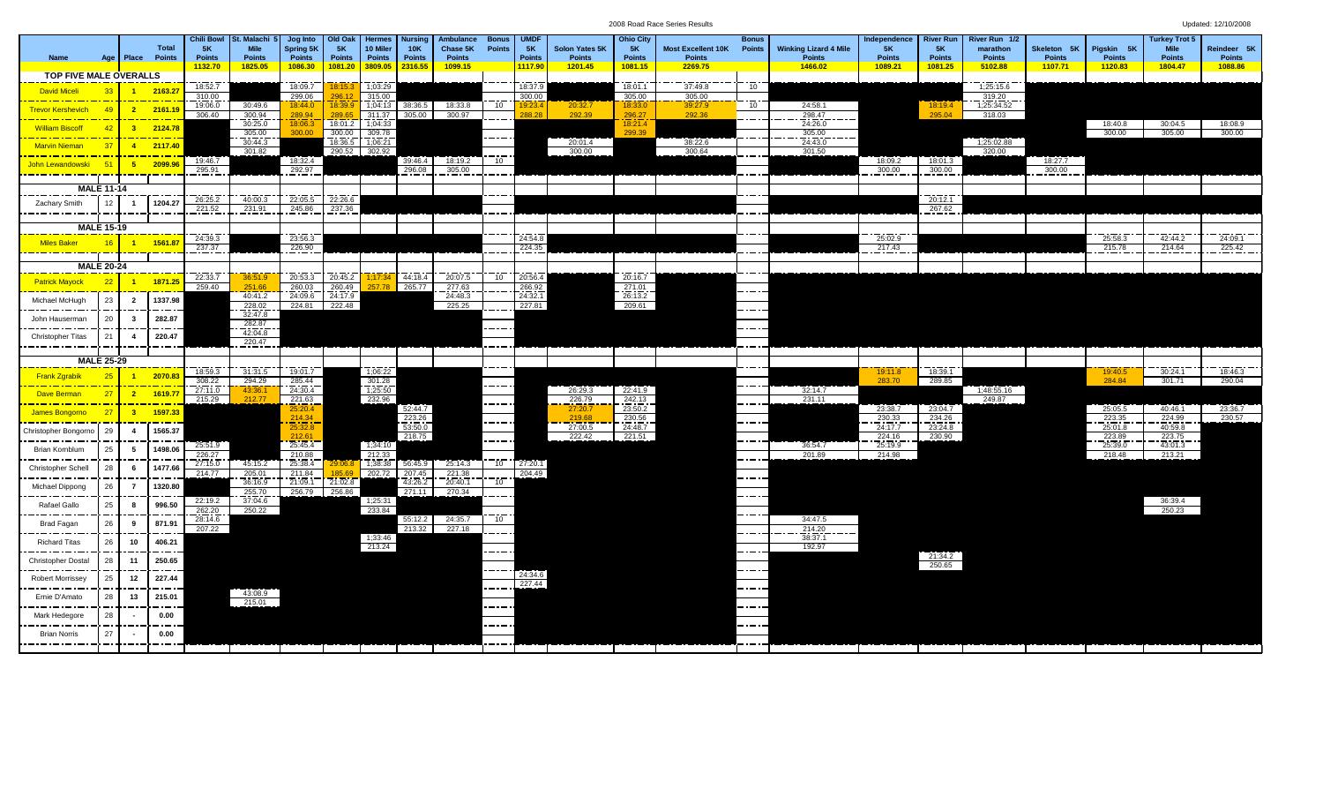2008 Road Race Series Results Updated: 12/10/2008

|                                                                                                                                                                                                                                      |                   |                                                                                                                                             |                                                 | <b>Chili Bowl</b>          | St. Malachi                  | Jog Into            | Old Oak                    | <b>Hermes</b>             | <b>Nursing</b>       | Ambulance                 | <b>Bonus</b> | <b>UMDI</b>         |                                 | Ohio City                  |                                            | <b>Bonus</b>      |                                               | Independence               | <b>River Run</b>           | River Run 1/2             |                              |                             | <b>Turkey Trot 5</b>         |                             |
|--------------------------------------------------------------------------------------------------------------------------------------------------------------------------------------------------------------------------------------|-------------------|---------------------------------------------------------------------------------------------------------------------------------------------|-------------------------------------------------|----------------------------|------------------------------|---------------------|----------------------------|---------------------------|----------------------|---------------------------|--------------|---------------------|---------------------------------|----------------------------|--------------------------------------------|-------------------|-----------------------------------------------|----------------------------|----------------------------|---------------------------|------------------------------|-----------------------------|------------------------------|-----------------------------|
| Name                                                                                                                                                                                                                                 |                   |                                                                                                                                             | Total<br>Age   Place Points                     | <b>5K</b><br><b>Points</b> | <b>Mile</b><br><b>Points</b> | Spring 5K<br>Points | <b>5K</b><br><b>Points</b> | 10 Miler<br><b>Points</b> | 10K<br><b>Points</b> | Chase 5K<br><b>Points</b> | Points       | <b>5K</b><br>Points | Solon Yates 5K<br><b>Points</b> | <b>5K</b><br><b>Points</b> | <b>Most Excellent 10K</b><br><b>Points</b> | <b>Points</b>     | <b>Winking Lizard 4 Mile</b><br><b>Points</b> | <b>5K</b><br><b>Points</b> | <b>5K</b><br><b>Points</b> | marathon<br><b>Points</b> | Skeleton 5K<br><b>Points</b> | Pigskin 5K<br><b>Points</b> | <b>Mile</b><br><b>Points</b> | Reindeer 5<br><b>Points</b> |
| <b>TOP FIVE MALE OVERALLS</b>                                                                                                                                                                                                        |                   |                                                                                                                                             |                                                 | 1132.70                    | 1825.05                      | 1086.30             | 1081.20                    | 3809.05                   | 2316.55              | 1099.15                   |              | 1117.90             | 1201.45                         | 1081.15                    | 2269.75                                    |                   | 1466.02                                       | 1089.21                    | 1081.25                    | 5102.88                   | 1107.71                      | 1120.83                     | 1804.47                      | 1088.86                     |
| ---------------                                                                                                                                                                                                                      |                   |                                                                                                                                             |                                                 | 18:52.7                    |                              | 18:09.7             |                            | 1:03:29                   |                      |                           |              | 18:37.9             |                                 | 18:01.1                    | 37:49.8                                    | 10                |                                               |                            |                            | 1:25:15.6                 |                              |                             |                              |                             |
| <b>David Miceli</b><br><u>na a ma a ma a ma a ma a ma a ma a</u>                                                                                                                                                                     | 33 <sup>°</sup>   | $-1$                                                                                                                                        | 2163.27<br><u>in son in son is son in son i</u> | 310.00                     |                              | 299.06              |                            | 315.00                    |                      |                           |              | 300.00              |                                 | 305.00                     | 305.00                                     | $\sim$ and $\sim$ |                                               |                            |                            | 319.20                    |                              |                             |                              |                             |
| <b>Frevor Kershevich</b>                                                                                                                                                                                                             | 49                | $\overline{2}$                                                                                                                              | 2161.19                                         | 19:06.0<br>306.40          | 30:49.6<br>300.94            | 18:44.0<br>289.94   | 289.6                      | 1:04:13<br>311.37         | 38:36.5<br>305.00    | 18:33.8<br>300.97         | 10           | 288.21              | 20:32.7<br>292.39               | 18:33.<br>296.27           | 39:27.9<br>292.36                          | 10                | 24:58.1<br>298.47                             |                            | 18:19.4<br>295.04          | 1:25:34.52<br>318.03      |                              |                             |                              |                             |
|                                                                                                                                                                                                                                      |                   |                                                                                                                                             |                                                 |                            | 30:25.0                      | 18:06.;             | 18:01.2                    | 1;04:33                   |                      |                           |              |                     |                                 | 18:21.4                    |                                            |                   | 24:26.0                                       |                            |                            |                           |                              | 18:40.8                     | 30:04.5                      | 18:08.9                     |
| <b>William Biscoff</b>                                                                                                                                                                                                               | 42                | 3 <sup>2</sup>                                                                                                                              | 2124.78                                         |                            | 305.00                       | 300.00              | 300.00                     | 309.78                    |                      |                           | -----        |                     |                                 | 299.39                     |                                            |                   | 305.00                                        |                            |                            |                           |                              | 300.00                      | 305.00                       | 300.00                      |
| <b>Marvin Nieman</b>                                                                                                                                                                                                                 |                   |                                                                                                                                             | 37 4 2117.40                                    |                            | 30:44.3<br>301.82            |                     | 290.52                     | 18:36.5 1;06:21<br>302.92 |                      |                           |              |                     | 20:01.4<br>300.00               |                            | 38:22.6<br>300.64                          |                   | 24:43.0<br>301.50                             |                            |                            | 1,25:02.88<br>320.00      |                              |                             |                              |                             |
| <u>an 'a ban 'a ban a ban 'a ban 'a ban 'a ban 'a ban 'a ban 'a ban 'a ban 'a ban 'a ban</u>                                                                                                                                         |                   |                                                                                                                                             |                                                 | 19:46.7                    |                              | 18:32.4             |                            |                           | 39:46.4              | 18:19.2                   | 10           |                     |                                 |                            |                                            |                   |                                               | 18:09.2                    | 18:01.3                    |                           | 18:27.7                      |                             |                              |                             |
| John Lewandowski  51 <mark>l  5   2099.96</mark><br><u>na sama masa sa sama may nasa a<mark>y sama may nasa na</mark> .</u>                                                                                                          |                   |                                                                                                                                             |                                                 | 295.91                     |                              | 292.97              |                            |                           | 296.08               | 305.00                    |              |                     |                                 |                            |                                            |                   |                                               | 300.00                     | 300.00                     |                           | 300.00                       |                             |                              |                             |
|                                                                                                                                                                                                                                      | <b>MALE 11-14</b> |                                                                                                                                             |                                                 |                            |                              |                     |                            |                           |                      |                           |              |                     |                                 |                            |                                            |                   |                                               |                            |                            |                           |                              |                             |                              |                             |
| ___________                                                                                                                                                                                                                          |                   |                                                                                                                                             |                                                 | 26:25.2                    | 40:00.3                      | 22:05.5             | 22:26.6                    |                           |                      |                           |              |                     |                                 |                            |                                            |                   |                                               |                            | 20:12.1                    |                           |                              |                             |                              |                             |
| Zachary Smith<br>-----------------------                                                                                                                                                                                             |                   | $12 \quad 1$                                                                                                                                | 1204.27                                         | 221.52                     | 231.91                       | 245.86              | 237.36                     |                           |                      |                           |              |                     |                                 |                            |                                            |                   |                                               |                            | 267.62                     |                           |                              |                             |                              |                             |
|                                                                                                                                                                                                                                      |                   |                                                                                                                                             |                                                 |                            |                              |                     |                            |                           |                      |                           |              |                     |                                 |                            |                                            |                   |                                               |                            |                            |                           |                              |                             |                              |                             |
| <u> and a second companion of the second companion of the second companion of the second companion of the second companion of the second companion of the second companion of the second companion of the second companion of th</u> | <b>MALE 15-19</b> |                                                                                                                                             |                                                 | 24:39.3                    |                              | 23:56.3             |                            |                           |                      |                           |              |                     |                                 |                            |                                            |                   |                                               | 25:02.9                    |                            |                           |                              | 25:58.3                     | 42:44.2                      | 24:09.1                     |
| Miles Baker 16 1 1561.87                                                                                                                                                                                                             |                   |                                                                                                                                             |                                                 | 237.37                     |                              | 226.90              |                            |                           |                      |                           |              | 24:54.8<br>224.35   |                                 |                            |                                            |                   |                                               | 217.43                     |                            |                           |                              | 215.78                      | 214.64                       | 225.42                      |
| <del>---------------<mark>-----</mark>----</del>                                                                                                                                                                                     |                   |                                                                                                                                             |                                                 |                            |                              |                     |                            |                           |                      |                           |              |                     |                                 |                            |                                            |                   |                                               |                            |                            |                           |                              |                             |                              |                             |
|                                                                                                                                                                                                                                      | <b>MALE 20-24</b> |                                                                                                                                             |                                                 |                            |                              |                     |                            |                           |                      |                           |              |                     |                                 |                            |                                            |                   |                                               |                            |                            |                           |                              |                             |                              |                             |
| Patrick Mayock 22                                                                                                                                                                                                                    |                   | $\blacksquare$ 1                                                                                                                            | 1871.25                                         | 22:33.7<br>259.40          | 36:51.9<br>251.66            | 20:53.3<br>260.03   | 20:45.2<br>260.49          | 57 78                     | 44:18.4<br>265.77    | 20:07.5<br>277.63         | 10           | 20:56.4<br>266.92   |                                 | 20:16.7<br>271.01          |                                            |                   |                                               |                            |                            |                           |                              |                             |                              |                             |
| ___________________<br>Michael McHugh                                                                                                                                                                                                | 23                | $\overline{2}$                                                                                                                              | 1337.98                                         |                            | 40:41.2                      | 24:09.6             | 24:17.9                    |                           |                      | 24:48.3                   |              | 24:32.1             |                                 | 26:13.2                    |                                            |                   |                                               |                            |                            |                           |                              |                             |                              |                             |
| ------------                                                                                                                                                                                                                         |                   |                                                                                                                                             | ----                                            |                            | 228.02                       | 224.81              | 222.48                     |                           |                      | 225.25                    |              | 227.81              |                                 | 209.61                     |                                            |                   |                                               |                            |                            |                           |                              |                             |                              |                             |
| John Hauserman                                                                                                                                                                                                                       | 20                | $\overline{\mathbf{3}}$                                                                                                                     | 282.87                                          |                            | 32:47.8<br>282.87            |                     |                            |                           |                      |                           |              |                     |                                 |                            |                                            |                   |                                               |                            |                            |                           |                              |                             |                              |                             |
| ___________<br>Christopher Titas                                                                                                                                                                                                     | .<br>21           | .<br>$\overline{4}$                                                                                                                         | ----<br>220.47                                  |                            | 42:04.8                      |                     |                            |                           |                      |                           |              |                     |                                 |                            |                                            |                   |                                               |                            |                            |                           |                              |                             |                              |                             |
| ------------------                                                                                                                                                                                                                   |                   |                                                                                                                                             | ---                                             |                            | 220.47                       |                     |                            |                           |                      |                           |              |                     |                                 |                            |                                            |                   |                                               |                            |                            |                           |                              |                             |                              |                             |
|                                                                                                                                                                                                                                      | <b>MALE 25-29</b> |                                                                                                                                             |                                                 |                            |                              |                     |                            |                           |                      |                           |              |                     |                                 |                            |                                            |                   |                                               |                            |                            |                           |                              |                             |                              |                             |
| <u>na matang matang na pang matang nanang matang matang matang matang matang matang matang matang matang matang ma</u>                                                                                                               |                   |                                                                                                                                             |                                                 | 18:59.3                    | 31:31.5                      | 19:01.7             |                            | 1;06:22                   |                      |                           |              |                     |                                 |                            |                                            |                   |                                               | 19:11.8                    | 18:39.1                    |                           |                              | 19:40.5                     | 30:24.1                      | 18:46.3                     |
| <b>Frank Zgrabik</b><br><u>a san a mas ma san a ma a ma a</u>                                                                                                                                                                        |                   | $25$ 1                                                                                                                                      | 2070.83<br><u>n ma a ma a ma a ma i</u>         | $\frac{308.22}{27:11.0}$   | 294.29                       | 285.44              |                            | 301.28                    |                      |                           |              |                     |                                 |                            |                                            |                   |                                               | 283.70                     | 289.85                     |                           |                              | 284.84                      | 301.71                       | 290.04                      |
| Dave Berman                                                                                                                                                                                                                          | 27                |                                                                                                                                             | 2 1619.7                                        | 215.29                     | 43:36.7<br>212.77            | 24:30.4<br>221.63   |                            | 1,25:50<br>232.96         |                      |                           |              |                     | 26:29.3<br>226.79               | 22:41.9<br>242.13          |                                            |                   | 32:14.7<br>231.11                             |                            |                            | 1:48:55.16<br>249.87      |                              |                             |                              |                             |
|                                                                                                                                                                                                                                      |                   | $\overline{\mathbf{3}}$                                                                                                                     |                                                 |                            |                              | 25:20.4             |                            |                           | 52:44.7              |                           |              |                     | 27:20.7                         | 23:50.2                    |                                            |                   |                                               | 23:38.7                    | 23:04.7                    |                           |                              | 25:05.5                     | 40:46.1                      | 23:36.7                     |
| James Bongorno                                                                                                                                                                                                                       | 27                |                                                                                                                                             | 1597.33                                         |                            |                              | 214.34              |                            |                           | 223.26               |                           | ---          |                     | 219.68                          | 230.56                     |                                            |                   |                                               | 230.33                     | $\frac{234.26}{23.24.8}$   |                           |                              | $\frac{223.35}{25:01.8}$    | 224.99                       | 230.57                      |
| Christopher Bongorno                                                                                                                                                                                                                 | 29                | $\overline{4}$                                                                                                                              | 1565.37                                         |                            |                              | 25:32.8<br>212B     |                            |                           | 53:50.0<br>218.75    |                           |              |                     | 27:00.5<br>222.42               | 24:48.7<br>221.51          |                                            |                   |                                               | $-24:17.7$<br>224.16       | 230.90                     |                           |                              | 223.89                      | 40:59.8<br>223.75            |                             |
| Brian Kornblum                                                                                                                                                                                                                       | 25                | $5\overline{5}$                                                                                                                             | 1498.06                                         | 25:51.9                    |                              | 25:45.4             |                            | 1:34:10                   |                      |                           | ---          |                     |                                 |                            |                                            |                   | 36:54.7                                       | 25:19.9                    |                            |                           |                              | 25:39.0                     | 43:01.3                      |                             |
| _________                                                                                                                                                                                                                            |                   |                                                                                                                                             |                                                 | 226.27                     |                              | 210.88              |                            | 212.33                    |                      |                           |              |                     |                                 |                            |                                            |                   | 201.89                                        | 214.98                     |                            |                           |                              | 218.48                      | 213.21                       |                             |
| <b>Christopher Schell</b>                                                                                                                                                                                                            | 28                | 6                                                                                                                                           | 1477.66                                         | 27:15.0<br>214.77          | 45:15.2<br>205.01            | 25:38.4<br>211.84   |                            | 1,38.38<br>202.72         | 56:45.9<br>207.45    | 25:14.3<br>221.38         | 10           | 27:20.1<br>204.49   |                                 |                            |                                            |                   |                                               |                            |                            |                           |                              |                             |                              |                             |
| -------------<br>Michael Dippong                                                                                                                                                                                                     | 26                | $\frac{1}{2} \left( \frac{1}{2} \right) \left( \frac{1}{2} \right) \left( \frac{1}{2} \right) \left( \frac{1}{2} \right)$<br>$\overline{7}$ | ----<br>1320.80                                 |                            | 36:16.9                      | 21:09.1             | 21:02.8                    |                           | 43:26.2              | 20:40.1                   | 10           |                     |                                 |                            |                                            |                   |                                               |                            |                            |                           |                              |                             |                              |                             |
| -----------                                                                                                                                                                                                                          |                   |                                                                                                                                             |                                                 |                            | 255.70                       | 256.79              | 256.86                     |                           | 271.11               | 270.34                    |              |                     |                                 |                            |                                            |                   |                                               |                            |                            |                           |                              |                             |                              |                             |
| Rafael Gallo                                                                                                                                                                                                                         | 25                | 8                                                                                                                                           | 996.50                                          | 22:19.2<br>262.20          | 37:04.6<br>250.22            |                     |                            | 1;25:31<br>233.84         |                      |                           |              |                     |                                 |                            |                                            |                   |                                               |                            |                            |                           |                              |                             | 36:39.4<br>250.23            |                             |
| _________<br>Brad Fagan                                                                                                                                                                                                              | 26                | .<br>9                                                                                                                                      | 871.91                                          | 28:14.6                    |                              |                     |                            |                           |                      | $55:12.2$ 24:35.7         | 10           |                     |                                 |                            |                                            |                   | 34:47.5                                       |                            |                            |                           |                              |                             |                              |                             |
| ---------                                                                                                                                                                                                                            |                   | .                                                                                                                                           |                                                 | 207.22                     |                              |                     |                            |                           | 213.32               | 227.18                    |              |                     |                                 |                            |                                            |                   | 214.20<br>38:37.1                             |                            |                            |                           |                              |                             |                              |                             |
| <b>Richard Titas</b>                                                                                                                                                                                                                 | 26                | 10                                                                                                                                          | 406.21                                          |                            |                              |                     |                            | 1;33:46<br>213.24         |                      |                           |              |                     |                                 |                            |                                            |                   | 192.97                                        |                            |                            |                           |                              |                             |                              |                             |
| ----------<br>Christopher Dostal                                                                                                                                                                                                     | $\sim$<br>28      | $\sim$<br>11                                                                                                                                | ---<br>250.65                                   |                            |                              |                     |                            |                           |                      |                           |              |                     |                                 |                            |                                            |                   |                                               |                            | 21:34.2                    |                           |                              |                             |                              |                             |
| ---------                                                                                                                                                                                                                            |                   |                                                                                                                                             | ---                                             |                            |                              |                     |                            |                           |                      |                           |              | 24:34.6             |                                 |                            |                                            |                   |                                               |                            | 250.65                     |                           |                              |                             |                              |                             |
| <b>Robert Morrissey</b>                                                                                                                                                                                                              | 25                | 12                                                                                                                                          | 227.44                                          |                            |                              |                     |                            |                           |                      |                           |              | 227.44              |                                 |                            |                                            |                   |                                               |                            |                            |                           |                              |                             |                              |                             |
| Ernie D'Amato                                                                                                                                                                                                                        | 28                | 13                                                                                                                                          | 215.01                                          |                            | 43:08.9                      |                     |                            |                           |                      |                           |              |                     |                                 |                            |                                            |                   |                                               |                            |                            |                           |                              |                             |                              |                             |
|                                                                                                                                                                                                                                      |                   |                                                                                                                                             |                                                 |                            | 215.01                       |                     |                            |                           |                      |                           |              |                     |                                 |                            |                                            |                   |                                               |                            |                            |                           |                              |                             |                              |                             |
| Mark Hedegore                                                                                                                                                                                                                        | 28                | $\sim$                                                                                                                                      | 0.00                                            |                            |                              |                     |                            |                           |                      |                           |              |                     |                                 |                            |                                            |                   |                                               |                            |                            |                           |                              |                             |                              |                             |
| -----------<br><b>Brian Norris</b>                                                                                                                                                                                                   | 27                | ---<br>$\overline{\phantom{a}}$                                                                                                             | 0.00                                            |                            |                              |                     |                            |                           |                      |                           |              |                     |                                 |                            |                                            |                   |                                               |                            |                            |                           |                              |                             |                              |                             |
|                                                                                                                                                                                                                                      |                   |                                                                                                                                             |                                                 |                            |                              |                     |                            |                           |                      |                           |              |                     |                                 |                            |                                            |                   |                                               |                            |                            |                           |                              |                             |                              |                             |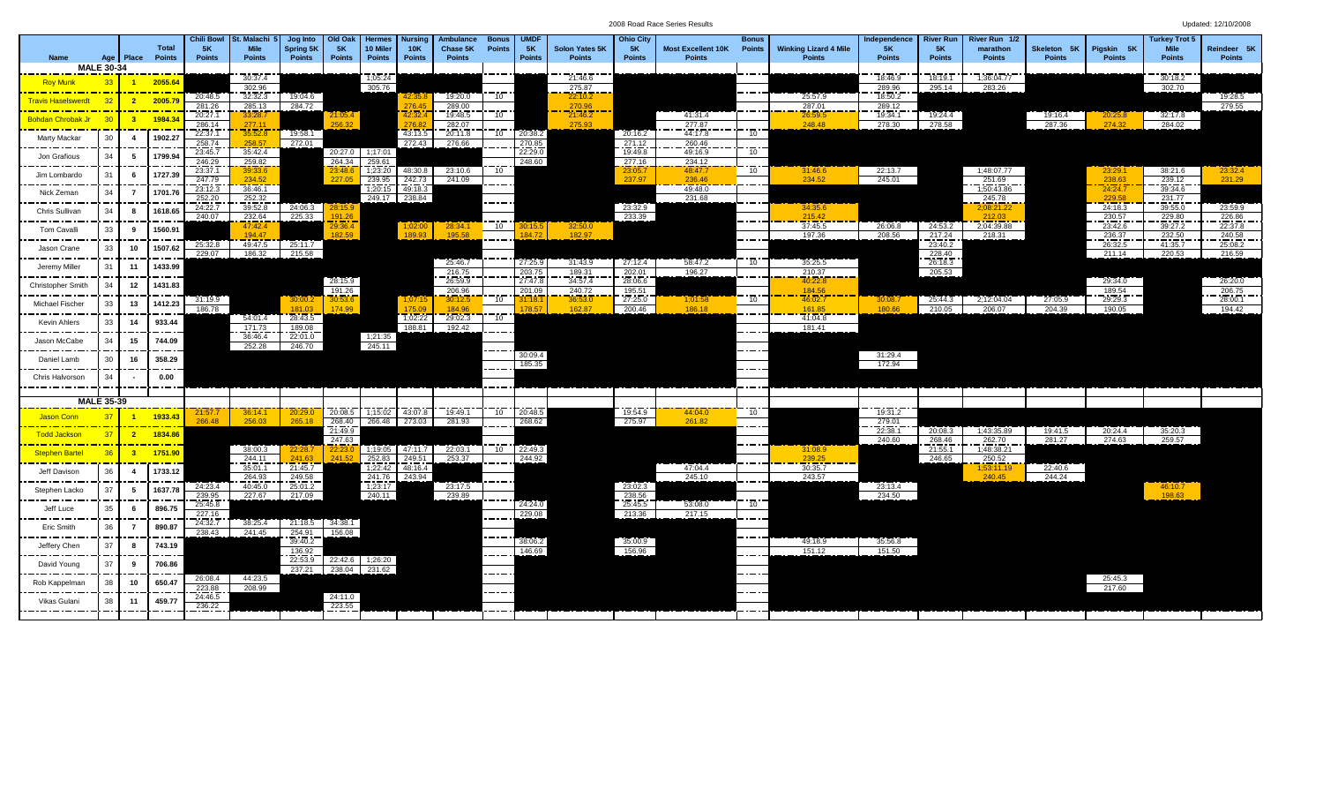2008 Road Race Series Results Updated: 12/10/2008

|                                                                                                                       |                   |                   |                                  | <b>Chili Bowl</b> | St. Malachi 5         | Jog Into            | Old Oak                   | <b>Hermes</b>             | <b>Nursing</b>                             | Ambulance         | <b>Bonus</b>    | <b>UMD</b>               |                          | <b>Ohio City</b>         |                           | <b>Bonus</b>     |                                               | Independence      | <b>River Run</b>         | River Run 1/2        |                              |                          | <b>Turkey Trot 5</b>     |                              |
|-----------------------------------------------------------------------------------------------------------------------|-------------------|-------------------|----------------------------------|-------------------|-----------------------|---------------------|---------------------------|---------------------------|--------------------------------------------|-------------------|-----------------|--------------------------|--------------------------|--------------------------|---------------------------|------------------|-----------------------------------------------|-------------------|--------------------------|----------------------|------------------------------|--------------------------|--------------------------|------------------------------|
|                                                                                                                       |                   |                   | <b>Total</b><br>Age Place Points | <b>5K</b>         | <b>Mile</b><br>Points | <b>Spring 5K</b>    | <b>5K</b>                 | 10 Miler                  | 10K                                        | Chase 5K          | <b>Points</b>   | <b>5K</b>                | <b>Solon Yates 5K</b>    | <b>5K</b>                | <b>Most Excellent 10K</b> | Points           | <b>Winking Lizard 4 Mile</b><br><b>Points</b> | <b>5K</b>         | <b>5K</b>                | marathon             | Skeleton 5K<br><b>Points</b> | Pigskin 5K               | <b>Mile</b>              | Reindeer 5K<br><b>Points</b> |
| <b>Name</b>                                                                                                           | <b>MALE 30-34</b> |                   |                                  | <b>Points</b>     |                       | <b>Points</b>       | <b>Points</b>             | <b>Points</b>             | <b>Points</b>                              | <b>Points</b>     |                 | Points                   | <b>Points</b>            | <b>Points</b>            | <b>Points</b>             |                  |                                               | <b>Points</b>     | <b>Points</b>            | <b>Points</b>        |                              | Points                   | <b>Points</b>            |                              |
|                                                                                                                       |                   |                   |                                  |                   | 30:37.4               |                     |                           | 1;05:24                   |                                            |                   |                 |                          | 21:46.6                  |                          |                           |                  |                                               | 18:46.9           | 18:19.1                  | 1;36:04.77           |                              |                          | 30:18.2                  |                              |
| <b>Roy Munk</b><br>-------------                                                                                      | 33 <sup>°</sup>   | $-1$              | 2055.64                          |                   | 302.96                |                     |                           | 305.76                    |                                            |                   |                 |                          | 275.87                   |                          |                           |                  |                                               | 289.96            | 295.14                   | 283.26               |                              |                          | 302.70                   |                              |
| <u> Travis Haselswerd</u>                                                                                             | -32               | $\overline{2}$    | 2005.7                           | 20:48.5           | 32:32.3               | 19:04.6             |                           |                           |                                            | 19:20.0           | 10              |                          | 22:10.2                  |                          |                           |                  | 25:57.9                                       | 18:50.2           |                          |                      |                              |                          |                          | 19:28.5                      |
|                                                                                                                       |                   |                   |                                  | 281.26            | 285.13                | 284.72              |                           |                           |                                            | 289.00<br>19:48.5 | $\overline{10}$ |                          | $\frac{270.96}{21:46.2}$ |                          | 41:31.4                   |                  | 287.01                                        | 289.12<br>19:34.1 | 19:24.4                  |                      | 19:16.4                      |                          |                          | 279.55                       |
| <b>Bohdan Chrobak Jr</b>                                                                                              | 30 <sup>°</sup>   | 3 <sup>1</sup>    | 1984.3                           | 20:27.1<br>286.14 | 33:28.<br>277.11      |                     | <u> 21:05.4</u><br>רכ האנ |                           |                                            | 282.07            |                 |                          | 275.93                   |                          | 277.87                    |                  | 26:59.5<br>248.48                             | 278.30            | 278.58                   |                      | 287.36                       | 20:25.8<br>274.32        | 32:17.8<br>284.02        |                              |
| Marty Mackar                                                                                                          | 30                | $\overline{4}$    | 1902.27                          | 22:37.1           | 35:52.8               | 19:58.1             |                           |                           | 43:13.5                                    | 20:11.8           | 10              | 20:38.2                  |                          | 20:16.2                  | 44:17.8                   | 10               |                                               |                   |                          |                      |                              |                          |                          |                              |
| ---------                                                                                                             |                   |                   |                                  | 258.74            | 258.57                | 272.01              |                           |                           | 272.43                                     | 276.66            |                 | 270.85<br>22:29.0        |                          | $\frac{271.12}{19:49.8}$ | 260.46<br>49:16.9         |                  |                                               |                   |                          |                      |                              |                          |                          |                              |
| Jon Grafious                                                                                                          | 34                | 5                 | 1799.9                           | 23:45.7<br>246.29 | 35:42.4<br>259.82     |                     | 264.34                    | 20:27.0 1;17:01<br>259.61 |                                            |                   |                 | 248.60                   |                          | 277.16                   |                           | 10               |                                               |                   |                          |                      |                              |                          |                          |                              |
| -------                                                                                                               |                   |                   |                                  | 23:37.1           | 39:33.6               |                     | 23:48.                    | 1;23:20                   | 48:30.8                                    | 23:10.6           | 10              |                          |                          | 23:05                    | 234.12<br>48:47.7         | 10 <sup>10</sup> | 31:46.6                                       | 22:13.7           |                          | 1;48:07.77           |                              | 23:29.1                  | 38:21.6                  | 23:32.4                      |
| Jim Lombardo<br>_________                                                                                             | 31                | 6                 | 1727.39                          | 247.79            | 234.52                |                     | 227.05                    | 239.95                    | 242.73                                     | 241.09            | ---             |                          |                          | 237.97                   | 236.46                    |                  | 234.52                                        | 245.01            |                          | 251.69               |                              | 238.63                   | $\frac{239.12}{39.34.6}$ | 231.29                       |
| Nick Zeman                                                                                                            | 34                | $\overline{7}$    | 1701.7                           | 23:12.3           | 36:46.1               |                     |                           |                           | $\frac{200}{1,20:15}$ $\frac{20}{49:18.3}$ |                   |                 |                          |                          |                          | 49:48.0                   |                  |                                               |                   |                          | 1:50:43.86           |                              | $\frac{290.09}{24:24.7}$ |                          |                              |
| .                                                                                                                     |                   |                   |                                  | 252.20<br>24:22.7 | 252.32<br>39:52.8     | 24:06.3             | 28:15                     | 249.17                    | 238.84                                     |                   | ---             |                          |                          | 23:32.9                  | 231.68                    |                  |                                               |                   |                          | 245.78               |                              | 229.58<br>24:18.3        | 231.77<br>39:55.0        | 23:59.9                      |
| Chris Sullivan                                                                                                        | 34                | 8                 | 1618.6                           | 240.07            | 232.64                | 225.33              | 191.26                    |                           |                                            |                   |                 |                          |                          | 233.39                   |                           |                  | 34:35.6<br>215.42                             |                   |                          | 2;08:21.22<br>212.03 |                              | 230.57                   | 229.80                   | 226.86                       |
| <b>Tom Cavalli</b>                                                                                                    | 33                | 9                 | 1560.9                           |                   | 47:42.4               |                     | 29:36.4                   |                           | E02300                                     | 28:34.1           | 10              |                          | 32:50.0                  |                          |                           |                  | 37:45.5                                       | 26:06.8           | 24:53.2                  | 2:04:39.88           |                              | 23:42.6                  | 39:27.2                  | 22:37.8                      |
| .                                                                                                                     |                   |                   |                                  |                   | 194 47                |                     | 182.59                    |                           | 189.93                                     | 195.58            |                 | 84.7'                    | 182.97                   |                          |                           |                  | 197.36                                        | 208.56            | $\frac{217.24}{23.40.2}$ | 218.31               |                              | $\frac{236.37}{26:32.5}$ | 232.50                   | $\frac{240.58}{25:08.2}$     |
| Jason Crane                                                                                                           | 33                | 10                | 1507.62                          | 25:32.8<br>229.07 | 49:47.5<br>186.32     | 25:11.7<br>215.58   |                           |                           |                                            |                   |                 |                          |                          |                          |                           |                  |                                               |                   | 228.40                   |                      |                              | 211.14                   | 41:35.7<br>220.53        | 216.59                       |
| ---------                                                                                                             |                   |                   |                                  |                   |                       |                     |                           |                           |                                            | 25:46.7           |                 | 27:25.9                  | 31:43.9                  | 27:12.4                  | 58:47.2                   | $10^{-}$         | 35:25.5                                       |                   | 26:18.3                  |                      |                              |                          |                          |                              |
| Jeremy Miller                                                                                                         | 31                | 11                | 1433.99                          |                   |                       |                     |                           |                           |                                            | 216.75            |                 | $\frac{203.75}{27:47.8}$ | 189.31                   | $\frac{202.01}{28:06.6}$ | 196.27                    |                  | 210.37                                        |                   | 205.53                   |                      |                              |                          |                          |                              |
| Christopher Smith                                                                                                     | 34                | 12                | 1431.83                          |                   |                       |                     | 28:15.9                   |                           |                                            | 26:59.9           |                 |                          | 34:57.4                  |                          |                           |                  | 40:22.8                                       |                   |                          |                      |                              | 29:34.0                  |                          | 26:20.0                      |
|                                                                                                                       |                   |                   |                                  | 31:19.9           |                       | 30:00.2             | 191.26                    |                           |                                            | 206.96            | $\overline{10}$ | 201.09                   | 240.72                   | 195.51<br>27:25.0        | 1:01:58                   | $\overline{10}$  | 184.56                                        | 30:08.7           | 25:44.3                  | 2:12:04.04           | 27:05.9                      | 189.54<br>29:29.3        |                          | 206.75                       |
| Michael Fischer                                                                                                       | 33                | 13                | 1412.23                          | 186.78            |                       | 181.03              | 30:53.6<br>174.99         |                           |                                            | 30:12.5<br>184.96 |                 |                          | 36:53.0<br>162.87        | 200.46                   | 186.18                    |                  | 46:02.7<br>161.85                             | 180.66            | 210.05                   | 206.07               | 204.39                       | 190.05                   |                          | 28:00.1<br>194.42            |
| ---------<br><b>Kevin Ahlers</b>                                                                                      | 33                | 14                | 933.44                           |                   | 54:01.4               | 28:43.5             |                           |                           | 1:02:22                                    | 29:02.3           | 10              |                          |                          |                          |                           |                  | 41:04.8                                       |                   |                          |                      |                              |                          |                          |                              |
|                                                                                                                       |                   |                   |                                  |                   | 171.73                | $\frac{189.08}{22}$ |                           |                           | 188.81                                     | 192.42            |                 |                          |                          |                          |                           |                  | 181.41                                        |                   |                          |                      |                              |                          |                          |                              |
| Jason McCabe                                                                                                          | 34                | 15                | 744.09                           |                   | 36:46.4<br>252.28     | 22:01.0<br>246.70   |                           | 1:21:35<br>245.11         |                                            |                   |                 |                          |                          |                          |                           |                  |                                               |                   |                          |                      |                              |                          |                          |                              |
| ----------                                                                                                            |                   |                   |                                  |                   |                       |                     |                           |                           |                                            |                   |                 | 30:09.4                  |                          |                          |                           |                  |                                               | 31:29.4           |                          |                      |                              |                          |                          |                              |
| Daniel Lamb<br>.                                                                                                      | 30                | 16                | 358.29                           |                   |                       |                     |                           |                           |                                            |                   |                 | 185.35                   |                          |                          |                           |                  |                                               | 172.94            |                          |                      |                              |                          |                          |                              |
| Chris Halvorson                                                                                                       | 34                | $\sim$            | 0.00                             |                   |                       |                     |                           |                           |                                            |                   |                 |                          |                          |                          |                           |                  |                                               |                   |                          |                      |                              |                          |                          |                              |
| ----------                                                                                                            |                   |                   |                                  |                   |                       |                     |                           |                           |                                            |                   |                 |                          |                          |                          |                           |                  |                                               |                   |                          |                      |                              |                          |                          |                              |
|                                                                                                                       | <b>MALE 35-39</b> |                   |                                  |                   |                       |                     |                           |                           |                                            |                   |                 |                          |                          |                          |                           |                  |                                               |                   |                          |                      |                              |                          |                          |                              |
| <b>Jason Conn</b>                                                                                                     | 37                | $\overline{1}$    | 1933.43                          |                   | 36:14                 | 20:29.              | 20:08.5                   | 1;15:02                   | 43:07.8                                    | 19:49.1           | 10              | 20:48.5                  |                          | 19:54.9                  | 44:04.0                   | 10               |                                               | 19:31.2           |                          |                      |                              |                          |                          |                              |
| <u>na a ma na mata a ma</u>                                                                                           |                   |                   |                                  | 266.48            | 256.03                | 265.18              |                           | 268.40 266.48             | 273.03                                     | 281.93            |                 | 268.62                   |                          | 275.97                   | 261.82                    |                  |                                               | 279.01            |                          |                      |                              |                          |                          |                              |
| <b>Todd Jackson</b>                                                                                                   | 37                | $\overline{2}$    | 1834.86                          |                   |                       |                     | 21:49.9<br>247.63         |                           |                                            |                   |                 |                          |                          |                          |                           |                  |                                               | 22:38.1<br>240.60 | 20:08.3<br>268.46        | 1:43:35.89           | 19:41.5<br>281.27            | 20:24.4<br>274.63        | 35:20.3<br>259.57        |                              |
| <u> 2001 - De Britannico de Britannico de Britannico de Britannico de Britannico de Britannico de Britannico de B</u> |                   | <u> a shekara</u> |                                  |                   | 38:00.3               | 22:28.7             | -22:23                    | 1:19:05                   | 47:11.7                                    | 22:03.1           | 10              | 22:49.3                  |                          |                          |                           |                  | 31:08.9                                       |                   | 21:55.1                  | 262.70<br>1;48:38.21 |                              |                          |                          |                              |
| <b>Stephen Bartel</b>                                                                                                 | 36 <sup>°</sup>   | 3 <sup>2</sup>    | 1751.90                          |                   | 244.11                | 241.63              | 241.52                    | 252.83                    | 249.51                                     | 253.37            |                 | 244.92                   |                          |                          |                           |                  | 239.25                                        |                   | 246.65                   | 250.52               |                              |                          |                          |                              |
| Jeff Davison                                                                                                          | 36                | $\overline{4}$    | 1733.12                          |                   | 35:01.1               | 21:45.7             |                           | 1;22:42                   | $\sqrt{48:16.4}$                           |                   |                 |                          |                          |                          | 47:04.4                   |                  | 30:35.7                                       |                   |                          | 1;53:11.19           | 22:40.6                      |                          |                          |                              |
| -----------                                                                                                           |                   | والمساد           |                                  | 24:23.4           | 264.93<br>40:45.0     | 249.58<br>25:01.2   |                           | 241.76<br>1:23:17         | 243.94                                     | 23:17.5           |                 |                          |                          | 23:02.3                  | 245.10                    |                  | 243.57                                        | 23:13.4           |                          | 240.45               | 244.24                       |                          |                          |                              |
| Stephen Lacko                                                                                                         | 37                | 5                 | 1637.78                          | 239.95            | 227.67                | 217.09              |                           | 240.11                    |                                            | 239.89            |                 |                          |                          |                          |                           |                  |                                               | 234.50            |                          |                      |                              |                          | 46:10.7<br>198.63        |                              |
| ---------<br>Jeff Luce                                                                                                | 35                | 6                 | 896.75                           | 25:45.8           |                       |                     |                           |                           |                                            |                   |                 | 24:24.0                  |                          | $\frac{238.56}{25.45.5}$ | 53:08.0                   | 10 <sup>1</sup>  |                                               |                   |                          |                      |                              |                          |                          |                              |
| ----------                                                                                                            |                   |                   |                                  | 227.16            |                       |                     |                           |                           |                                            |                   |                 | 229.08                   |                          | 213.36                   | 217.15                    |                  |                                               |                   |                          |                      |                              |                          |                          |                              |
| Eric Smith                                                                                                            | 36                | $\overline{7}$    | 890.87                           | 24:32.7           | 38:25.4               | 21:18.5             | 34:38.1                   |                           |                                            |                   |                 |                          |                          |                          |                           |                  |                                               |                   |                          |                      |                              |                          |                          |                              |
| -------                                                                                                               |                   |                   |                                  | 238.43            | 241.45                | 254.91<br>39:40.2   | 156.08                    |                           |                                            |                   |                 | 38:06.2                  |                          | 35:00.9                  |                           |                  | 49:18.9                                       | 35:56.8           |                          |                      |                              |                          |                          |                              |
| Jeffery Chen<br>_________                                                                                             | 37                | 8                 | 743.19                           |                   |                       | 136.92              |                           |                           |                                            |                   |                 | 146.69                   |                          | 156.96                   |                           |                  | 151.12                                        | 151.50            |                          |                      |                              |                          |                          |                              |
| David Young                                                                                                           | 37                | 9                 | 706.86                           |                   |                       | 22:53.9             |                           | 22:42.6 1:26:20           |                                            |                   |                 |                          |                          |                          |                           |                  |                                               |                   |                          |                      |                              |                          |                          |                              |
|                                                                                                                       |                   |                   |                                  | 26:08.4           | 44:23.5               | 237.21              |                           | 238.04 231.62             |                                            |                   | ---             |                          |                          |                          |                           |                  |                                               |                   |                          |                      |                              | 25:45.3                  |                          |                              |
| Rob Kappelman                                                                                                         | 38                | 10                | 650.47                           | 223.88            | 208.99                |                     |                           |                           |                                            |                   |                 |                          |                          |                          |                           |                  |                                               |                   |                          |                      |                              | 217.60                   |                          |                              |
| Vikas Gulani                                                                                                          | 38                | 11                | 459.77                           | 24:46.5           |                       |                     | 24:11.0                   |                           |                                            |                   |                 |                          |                          |                          |                           |                  |                                               |                   |                          |                      |                              |                          |                          |                              |
| .                                                                                                                     |                   |                   |                                  | 236.22            |                       |                     | 223.55                    |                           |                                            |                   |                 |                          |                          |                          |                           |                  |                                               |                   |                          |                      |                              |                          |                          |                              |
|                                                                                                                       |                   |                   |                                  |                   |                       |                     |                           |                           |                                            |                   |                 |                          |                          |                          |                           |                  |                                               |                   |                          |                      |                              |                          |                          |                              |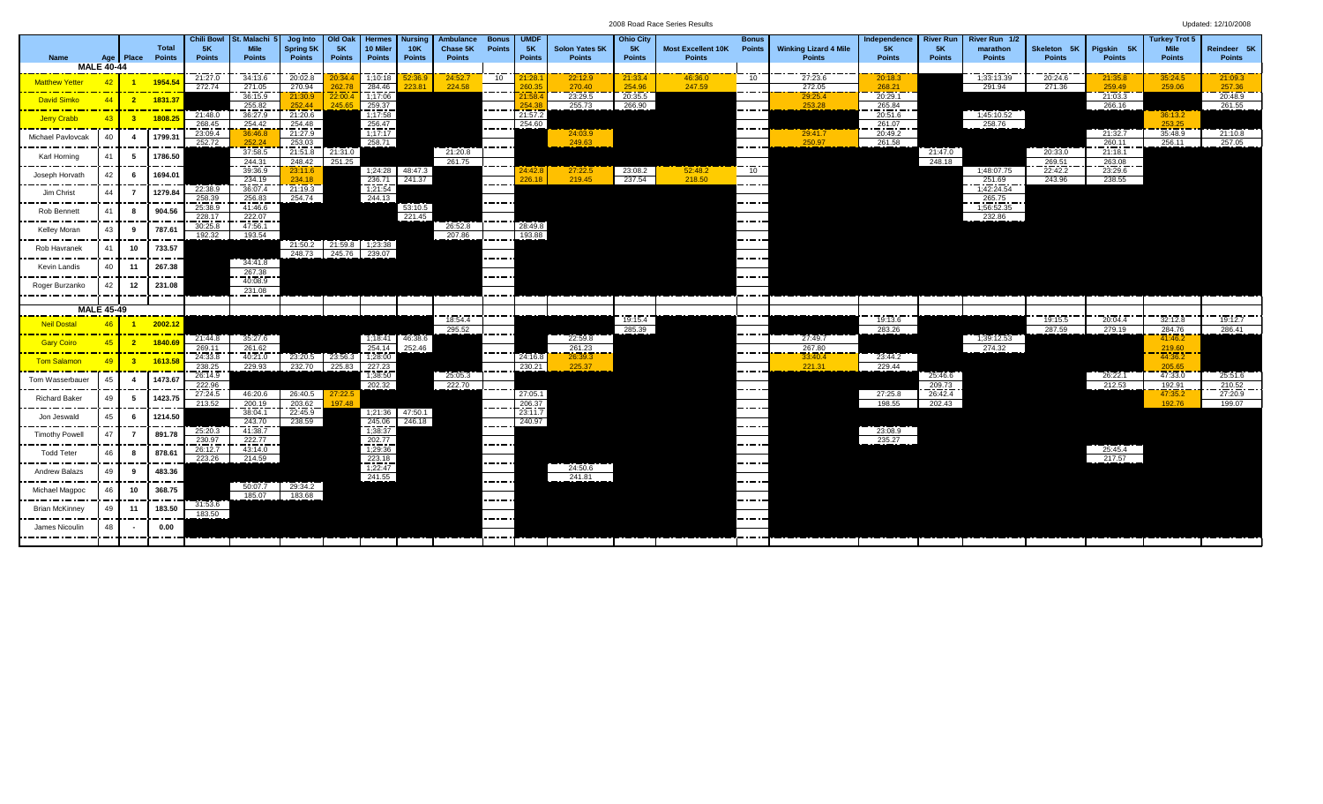2008 Road Race Series Results

|  | Updated: 12/10/2008 |
|--|---------------------|
|--|---------------------|

|                                                                                                                            |                     |                         |                  | <b>Chili Bowl</b> | . Malachi         | Joa Into                 | Old Oak       | <b>Hermes</b>            | Nursina           | <b>Ambulance</b> | <b>Bonus</b>           | <b>UMDI</b>   |                   | <b>Ohio City</b>  |                           | <b>Bonus</b>  |                              | Independence      | <b>River Run</b> | <b>River Run</b> 1/2 |               |                   | <b>Turkey Trot 5</b>  |                          |
|----------------------------------------------------------------------------------------------------------------------------|---------------------|-------------------------|------------------|-------------------|-------------------|--------------------------|---------------|--------------------------|-------------------|------------------|------------------------|---------------|-------------------|-------------------|---------------------------|---------------|------------------------------|-------------------|------------------|----------------------|---------------|-------------------|-----------------------|--------------------------|
|                                                                                                                            |                     |                         | <b>Total</b>     | <b>5K</b>         | <b>Mile</b>       | Spring 5K                | <b>5K</b>     | 10 Miler                 | <b>10K</b>        | Chase 5K         | <b>Points</b>          | <b>5K</b>     | Solon Yates 5K    | <b>5K</b>         | <b>Most Excellent 10K</b> | <b>Points</b> | <b>Winking Lizard 4 Mile</b> | <b>5K</b>         | <b>5K</b>        | marathon             | Skeleton 5K   | Pigskin 5K        | Mile                  | Reindeer 5K              |
| <b>Name</b>                                                                                                                |                     |                         | Age Place Points | <b>Points</b>     | <b>Points</b>     | <b>Points</b>            | <b>Points</b> | <b>Points</b>            | <b>Points</b>     | <b>Points</b>    |                        | <b>Points</b> | <b>Points</b>     | <b>Points</b>     | <b>Points</b>             |               | <b>Points</b>                | <b>Points</b>     | <b>Points</b>    | <b>Points</b>        | <b>Points</b> | <b>Points</b>     | <b>Points</b>         | <b>Points</b>            |
|                                                                                                                            | <b>MALE 40-44</b>   |                         |                  |                   |                   |                          |               |                          |                   |                  |                        |               |                   |                   |                           |               |                              |                   |                  |                      |               |                   |                       |                          |
|                                                                                                                            |                     |                         |                  |                   |                   |                          |               |                          |                   |                  |                        |               |                   |                   |                           |               | 27:23.6                      |                   |                  |                      |               |                   |                       |                          |
| <b>Matthew Yetter</b>                                                                                                      | 42                  |                         | 1954.54          | 21:27.0           | 34:13.6<br>271.05 | 20:02.8<br>270.94        |               | 1:10:18<br>284.46        |                   | 24:52.<br>224.58 | 10                     |               | 22:12.9<br>270.40 | 21:33.4<br>254.96 | 46:36.0<br>247.59         | 10            |                              | 20:18.3<br>268.21 |                  | 1:33:13.39           | 20:24.6       | 21:35.8<br>259.49 | 35:24.5<br>259.06     | 21:09.3<br>257.36        |
| <u> 2000 - 2000 - 2000 - 200</u>                                                                                           |                     |                         |                  | 272.74            | 36:15.9           |                          |               | 1:17:06                  |                   |                  |                        |               | 23:29.5           | 20:35.5           |                           |               | 272.05<br>29:25.4            | 20:29.1           |                  | 291.94               | 271.36        |                   |                       | 20:48.9                  |
| <b>David Simko</b>                                                                                                         |                     | $\overline{2}$          | 1831.37          |                   |                   | 21:30.9                  |               |                          |                   |                  |                        |               |                   |                   |                           |               |                              |                   |                  |                      |               | 21:03.3           |                       |                          |
| <u> 1989 - 1989 - 1989 - 1989 - 1989 - 1989 - 1989 - 1989 - 1989 - 1989 - 1989 - 1989 - 1989 - 1989 - 1989 - 1989 - 19</u> | <u>and a series</u> | <b>CONTRACTOR</b>       |                  |                   | 255.82<br>.       | 252.44                   | 245.6         | 259.37<br>----           |                   |                  |                        |               | 255.73            | 266.90            |                           |               | 253.28                       | 265.84<br>-----   |                  |                      |               | 266.16            |                       | 261.55                   |
| <b>Jerry Crabb</b>                                                                                                         | $-4.3$              | $\overline{\mathbf{3}}$ | 1808.2           | 21:48.0           | 36:27.9           | 21:20.6                  |               | 1;17:58                  |                   |                  |                        | 21:57.2       |                   |                   |                           |               |                              | 20:51.6           |                  | 1;45:10.52           |               |                   | 36:13.2               |                          |
|                                                                                                                            |                     |                         |                  | 268.45            | 254.42            | 254.48                   |               | 256.47                   |                   |                  |                        | 254.60        |                   |                   |                           |               |                              | 261.07            |                  | 258.76               |               |                   | 253.25                |                          |
| Michael Pavlovcak                                                                                                          | 40                  | $\mathbf{A}$            | 1799.31          | 23:09.4           | 36:46.8           | 21:27.9                  |               | 1;17:17                  |                   |                  |                        |               | 24:03.9           |                   |                           |               | 29:41.7                      | 20:49.2           |                  |                      |               | 21:32.7           | 35:48.9               | 21:10.8                  |
|                                                                                                                            |                     |                         |                  | 252.72            | 252.24            | 253.03                   |               | 258.71                   |                   |                  |                        |               | 249.63            |                   |                           |               | 250.97                       | 261.58            |                  |                      |               | 260.11            | 256.11                | 257.05                   |
| Karl Horning                                                                                                               | 41                  | 5                       | 1786.50          |                   | 37:58.5           | 21:51.8                  | 21:31.0       |                          |                   | 21:20.8          |                        |               |                   |                   |                           |               |                              |                   | 21:47.0          |                      | 20:33.0       | 21:18.1           |                       |                          |
|                                                                                                                            |                     |                         |                  |                   | 244.31            | 248.42                   | 251.25        |                          |                   | 261.75           |                        |               |                   |                   |                           |               |                              |                   | 248.18           |                      | 269.51        | 263.08            |                       |                          |
| Joseph Horvath                                                                                                             | 42                  | - 6                     | 1694.01          |                   | 39:36.9           | 23:11.6                  |               |                          | $1;24:28$ 48:47.3 |                  |                        |               | 27:22.5           | 23:08.2           | 52:48.2                   | 10            |                              |                   |                  | 1:48:07.75           | 22:42.2       | 23:29.6           |                       |                          |
| _______                                                                                                                    |                     |                         |                  |                   | 234.19            | 234.18                   |               | 236.71                   | 241.37            |                  | ---                    |               | 219.45            | 237.54            | 218.50                    |               |                              |                   |                  | 251.69               | 243.96        | 238.55            |                       |                          |
| Jim Christ                                                                                                                 | 44                  | $\overline{7}$          | 1279.84          | 22:38.9           | 36:07.4           | 21:19.3                  |               | 1,21.54                  |                   |                  |                        |               |                   |                   |                           |               |                              |                   |                  | 1:42:24.54           |               |                   |                       |                          |
| --------                                                                                                                   |                     |                         |                  | 258.39            | 256.83            | 254.74                   |               | 244.13                   |                   |                  | ----                   |               |                   |                   |                           |               |                              |                   |                  | 265.75               |               |                   |                       |                          |
| <b>Rob Bennett</b>                                                                                                         | 41                  | -8                      | 904.56           | 25:38.9           | 41:46.6           |                          |               |                          | 53:10.5           |                  |                        |               |                   |                   |                           |               |                              |                   |                  | 1;56:52.35           |               |                   |                       |                          |
|                                                                                                                            |                     |                         |                  | 228.17            | 222.07            |                          |               |                          | 221.45            |                  |                        |               |                   |                   |                           |               |                              |                   |                  | 232.86               |               |                   |                       |                          |
| ---------                                                                                                                  |                     |                         |                  | 30:25.8           | 47:56.1           |                          |               |                          |                   | 26:52.8          |                        | 28:49.8       |                   |                   |                           |               |                              |                   |                  |                      |               |                   |                       |                          |
| Kelley Moran                                                                                                               | 43                  | 9                       | 787.61           | 192.32            | 193.54            |                          |               |                          |                   | 207.86           |                        | 193.88        |                   |                   |                           |               |                              |                   |                  |                      |               |                   |                       |                          |
|                                                                                                                            |                     |                         |                  |                   |                   | 21:50.2                  | 21:59.8       | 1:23:38                  |                   |                  |                        |               |                   |                   |                           |               |                              |                   |                  |                      |               |                   |                       |                          |
| Rob Havranek                                                                                                               | 41                  | 10                      | 733.57           |                   |                   | 248.73                   | 245.76        | 239.07                   |                   |                  |                        |               |                   |                   |                           |               |                              |                   |                  |                      |               |                   |                       |                          |
|                                                                                                                            |                     |                         |                  |                   | 34:41.8           |                          |               |                          |                   |                  |                        |               |                   |                   |                           |               |                              |                   |                  |                      |               |                   |                       |                          |
| Kevin Landis                                                                                                               | 40                  | 11                      | 267.38           |                   | 267.38            |                          |               |                          |                   |                  |                        |               |                   |                   |                           |               |                              |                   |                  |                      |               |                   |                       |                          |
| __________                                                                                                                 |                     |                         |                  |                   | _____<br>40:08.9  |                          |               |                          |                   |                  | ----                   |               |                   |                   |                           |               |                              |                   |                  |                      |               |                   |                       |                          |
| Roger Burzanko                                                                                                             | 42                  | 12                      | 231.08           |                   | 231.08            |                          |               |                          |                   |                  |                        |               |                   |                   |                           |               |                              |                   |                  |                      |               |                   |                       |                          |
|                                                                                                                            |                     |                         |                  |                   |                   |                          |               |                          |                   |                  |                        |               |                   |                   |                           |               |                              |                   |                  |                      |               |                   |                       |                          |
|                                                                                                                            | <b>MALE 45-49</b>   |                         |                  |                   |                   |                          |               |                          |                   |                  |                        |               |                   |                   |                           |               |                              |                   |                  |                      |               |                   |                       |                          |
|                                                                                                                            |                     |                         |                  |                   |                   |                          |               |                          |                   |                  |                        |               |                   |                   |                           |               |                              | ------            |                  |                      | .             |                   |                       | $-19:12.7$               |
| <b>Neil Dostal</b>                                                                                                         | 46                  | $-1$                    | 2002.12          |                   |                   |                          |               |                          |                   | 18:54.4          |                        |               |                   | 19:15.4           |                           |               |                              | 19:13.6           |                  |                      | 19:15.5       | 20:04.4           | 32:12.8               |                          |
|                                                                                                                            |                     |                         |                  |                   |                   |                          |               |                          |                   | 295.52           |                        |               |                   | 285.39            |                           |               |                              | 283.26            |                  |                      | 287.59        | 279.19            | 284.76<br>والمستحققين | 286.41                   |
| <b>Gary Coiro</b>                                                                                                          | 4 <sup>5</sup>      | $\sqrt{2}$              | 1840.69          | 21:44.8           | 35:27.6           |                          |               | 1:18:41                  | 46:38.6           |                  |                        |               | 22:59.8           |                   |                           |               | 27:49.7                      |                   |                  | 1:39:12.53           |               |                   | 41:46.2               |                          |
| <u>noon at soon at soon at soon at soon</u>                                                                                |                     |                         |                  | 269.11            | 261.62            |                          |               | 254.14                   | 252.46            |                  |                        |               | 261.23            |                   |                           |               | 267.80                       |                   |                  | 274.32               |               |                   | 219.60                |                          |
| <b>Tom Salamon</b>                                                                                                         |                     | $\overline{\mathbf{3}}$ | 1613.58          | 24:33.8           | 40:21.0           | 23:20.5                  | 23:56.3       | 1;28:00                  |                   |                  |                        | 24:16.8       | 26:39.3           |                   |                           |               | 33:40.4                      | 23:44.2           |                  |                      |               |                   | 44:36.2               |                          |
| <u> 1988 - An t-San Tall, anns an t-San Tall, anns an t-</u>                                                               |                     |                         |                  | 238.25            | 229.93            | 232.70                   | 225.83        | $\frac{227.23}{1;38:50}$ |                   |                  |                        | 230.21        | 225.37            |                   |                           |               | 221.31                       | 229.44            |                  |                      |               |                   | 205.65                |                          |
| Tom Wasserbauer                                                                                                            | 45                  | $\overline{\mathbf{4}}$ | 1473.67          | 26:14.9           |                   |                          |               |                          |                   | 25:05.3          |                        |               |                   |                   |                           |               |                              |                   | 25:46.6          |                      |               | 26:22.1           | 47:33.0               | 25:51.6                  |
| __________                                                                                                                 |                     |                         |                  | 222.96            |                   |                          |               | 202.32                   |                   | 222.70           |                        |               |                   |                   |                           |               |                              |                   | 209.73           |                      |               | 212.53            | 192.91                | $\frac{210.52}{27:20.9}$ |
| <b>Richard Baker</b>                                                                                                       | 49                  | 5                       | 1423.75          | 27:24.5           | 46:20.6           | 26:40.5                  | -27:22        |                          |                   |                  |                        | 27:05.1       |                   |                   |                           |               |                              | 27:25.8           | 26:42.4          |                      |               |                   | 47:35.2               |                          |
| _______                                                                                                                    |                     |                         |                  | 213.52            | 200.19            | $\frac{203.62}{22:45.9}$ | 19748         |                          |                   |                  |                        | 206.37        |                   |                   |                           |               |                              | 198.55            | 202.43           |                      |               |                   | 192.76                | 199.07                   |
| Jon Jeswald                                                                                                                | 45                  | - 6                     | 1214.50          |                   | 38:04.1           |                          |               | 1;21:36                  | 47:50.1           |                  |                        | 23:11.7       |                   |                   |                           |               |                              |                   |                  |                      |               |                   |                       |                          |
|                                                                                                                            |                     |                         |                  |                   | 243.70            | 238.59                   |               | 245.06                   | 246.18            |                  |                        | 240.97        |                   |                   |                           |               |                              |                   |                  |                      |               |                   |                       |                          |
| ----------                                                                                                                 |                     |                         |                  | 25:20.3           | 41:38.7           |                          |               | 1:38:37                  |                   |                  |                        |               |                   |                   |                           |               |                              | 23:08.9           |                  |                      |               |                   |                       |                          |
| <b>Timothy Powell</b>                                                                                                      | 47                  | - 7                     | 891.78           | 230.97            | 222.77            |                          |               | 202.77                   |                   |                  |                        |               |                   |                   |                           |               |                              | 235.27            |                  |                      |               |                   |                       |                          |
| ----------                                                                                                                 |                     |                         |                  | 26:12.7           | 43:14.0           |                          |               | 1,29.36                  |                   |                  | ----                   |               |                   |                   |                           |               |                              |                   |                  |                      |               | 25:45.4           |                       |                          |
| <b>Todd Teter</b>                                                                                                          | 46                  | 8                       | 878.61           | 223.26            | 214.59            |                          |               | 223.18                   |                   |                  |                        |               |                   |                   |                           |               |                              |                   |                  |                      |               | 217.57            |                       |                          |
| ---------                                                                                                                  |                     |                         |                  |                   |                   |                          |               | 1:22:47                  |                   |                  | ---                    |               | 24:50.6           |                   |                           |               |                              |                   |                  |                      |               |                   |                       |                          |
| <b>Andrew Balazs</b>                                                                                                       | 49                  | 9                       | 483.36           |                   |                   |                          |               | 241.55                   |                   |                  |                        |               | 241.81            |                   |                           |               |                              |                   |                  |                      |               |                   |                       |                          |
| .                                                                                                                          |                     |                         |                  |                   | 50:07.7           | 29:34.2                  |               |                          |                   |                  | $\cdots \cdots \cdots$ |               |                   |                   |                           |               |                              |                   |                  |                      |               |                   |                       |                          |
| Michael Magpoc                                                                                                             | 46                  | 10                      | 368.75           |                   | 185.07            | 183.68                   |               |                          |                   |                  |                        |               |                   |                   |                           |               |                              |                   |                  |                      |               |                   |                       |                          |
|                                                                                                                            |                     |                         |                  | 31:53.6           |                   |                          |               |                          |                   |                  |                        |               |                   |                   |                           |               |                              |                   |                  |                      |               |                   |                       |                          |
| <b>Brian McKinney</b>                                                                                                      | 49                  | 11                      | 183.50           |                   |                   |                          |               |                          |                   |                  |                        |               |                   |                   |                           |               |                              |                   |                  |                      |               |                   |                       |                          |
|                                                                                                                            |                     |                         |                  | 183.50            |                   |                          |               |                          |                   |                  |                        |               |                   |                   |                           |               |                              |                   |                  |                      |               |                   |                       |                          |
| James Nicoulin                                                                                                             | 48                  |                         | 0.00             |                   |                   |                          |               |                          |                   |                  |                        |               |                   |                   |                           |               |                              |                   |                  |                      |               |                   |                       |                          |
|                                                                                                                            |                     |                         |                  |                   |                   |                          |               |                          |                   |                  |                        |               |                   |                   |                           |               |                              |                   |                  |                      |               |                   |                       |                          |
|                                                                                                                            |                     |                         |                  |                   |                   |                          |               |                          |                   |                  |                        |               |                   |                   |                           |               |                              |                   |                  |                      |               |                   |                       |                          |